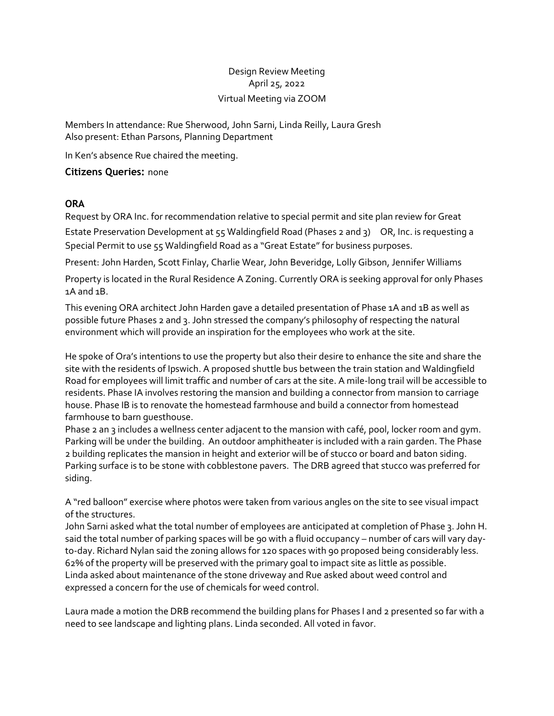## Design Review Meeting April 25, 2022 Virtual Meeting via ZOOM

Members In attendance: Rue Sherwood, John Sarni, Linda Reilly, Laura Gresh Also present: Ethan Parsons, Planning Department

In Ken's absence Rue chaired the meeting.

## **Citizens Queries:** none

## **ORA**

Request by ORA Inc. for recommendation relative to special permit and site plan review for Great

Estate Preservation Development at 55 Waldingfield Road (Phases 2 and 3) OR, Inc. is requesting a Special Permit to use 55 Waldingfield Road as a "Great Estate" for business purposes.

Present: John Harden, Scott Finlay, Charlie Wear, John Beveridge, Lolly Gibson, Jennifer Williams

Property is located in the Rural Residence A Zoning. Currently ORA is seeking approval for only Phases 1A and 1B.

This evening ORA architect John Harden gave a detailed presentation of Phase 1A and 1B as well as possible future Phases 2 and 3. John stressed the company's philosophy of respecting the natural environment which will provide an inspiration for the employees who work at the site.

He spoke of Ora's intentions to use the property but also their desire to enhance the site and share the site with the residents of Ipswich. A proposed shuttle bus between the train station and Waldingfield Road for employees will limit traffic and number of cars at the site. A mile-long trail will be accessible to residents. Phase IA involves restoring the mansion and building a connector from mansion to carriage house. Phase IB is to renovate the homestead farmhouse and build a connector from homestead farmhouse to barn guesthouse.

Phase 2 an 3 includes a wellness center adjacent to the mansion with café, pool, locker room and gym. Parking will be under the building. An outdoor amphitheater is included with a rain garden. The Phase 2 building replicates the mansion in height and exterior will be of stucco or board and baton siding. Parking surface is to be stone with cobblestone pavers. The DRB agreed that stucco was preferred for siding.

A "red balloon" exercise where photos were taken from various angles on the site to see visual impact of the structures.

John Sarni asked what the total number of employees are anticipated at completion of Phase 3. John H. said the total number of parking spaces will be 90 with a fluid occupancy – number of cars will vary dayto-day. Richard Nylan said the zoning allows for 120 spaces with 90 proposed being considerably less. 62% of the property will be preserved with the primary goal to impact site as little as possible. Linda asked about maintenance of the stone driveway and Rue asked about weed control and expressed a concern for the use of chemicals for weed control.

Laura made a motion the DRB recommend the building plans for Phases I and 2 presented so far with a need to see landscape and lighting plans. Linda seconded. All voted in favor.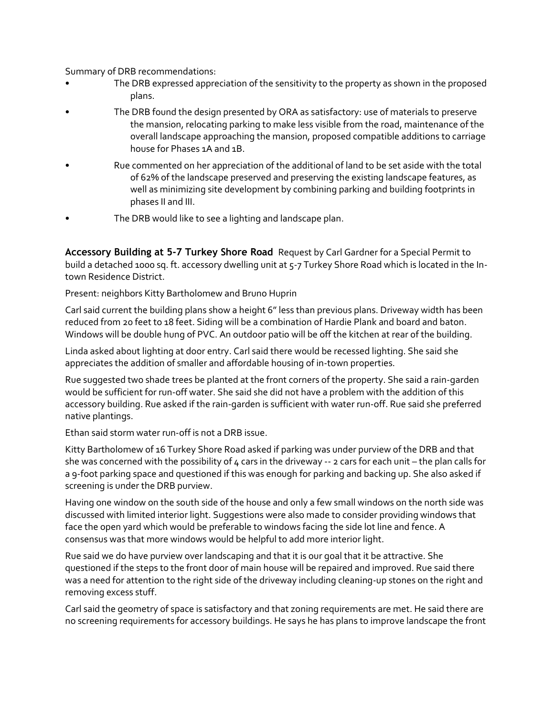Summary of DRB recommendations:

- The DRB expressed appreciation of the sensitivity to the property as shown in the proposed plans.
- The DRB found the design presented by ORA as satisfactory: use of materials to preserve the mansion, relocating parking to make less visible from the road, maintenance of the overall landscape approaching the mansion, proposed compatible additions to carriage house for Phases 1A and 1B.
- Rue commented on her appreciation of the additional of land to be set aside with the total of 62% of the landscape preserved and preserving the existing landscape features, as well as minimizing site development by combining parking and building footprints in phases II and III.
- The DRB would like to see a lighting and landscape plan.

**Accessory Building at 5-7 Turkey Shore Road** Request by Carl Gardner for a Special Permit to build a detached 1000 sq. ft. accessory dwelling unit at 5-7 Turkey Shore Road which is located in the Intown Residence District.

Present: neighbors Kitty Bartholomew and Bruno Huprin

Carl said current the building plans show a height 6" less than previous plans. Driveway width has been reduced from 20 feet to 18 feet. Siding will be a combination of Hardie Plank and board and baton. Windows will be double hung of PVC. An outdoor patio will be off the kitchen at rear of the building.

Linda asked about lighting at door entry. Carl said there would be recessed lighting. She said she appreciates the addition of smaller and affordable housing of in-town properties.

Rue suggested two shade trees be planted at the front corners of the property. She said a rain-garden would be sufficient for run-off water. She said she did not have a problem with the addition of this accessory building. Rue asked if the rain-garden is sufficient with water run-off. Rue said she preferred native plantings.

Ethan said storm water run-off is not a DRB issue.

Kitty Bartholomew of 16 Turkey Shore Road asked if parking was under purview of the DRB and that she was concerned with the possibility of  $4$  cars in the driveway -- 2 cars for each unit – the plan calls for a 9-foot parking space and questioned if this was enough for parking and backing up. She also asked if screening is under the DRB purview.

Having one window on the south side of the house and only a few small windows on the north side was discussed with limited interior light. Suggestions were also made to consider providing windows that face the open yard which would be preferable to windows facing the side lot line and fence. A consensus was that more windows would be helpful to add more interior light.

Rue said we do have purview over landscaping and that it is our goal that it be attractive. She questioned if the steps to the front door of main house will be repaired and improved. Rue said there was a need for attention to the right side of the driveway including cleaning-up stones on the right and removing excess stuff.

Carl said the geometry of space is satisfactory and that zoning requirements are met. He said there are no screening requirements for accessory buildings. He says he has plans to improve landscape the front